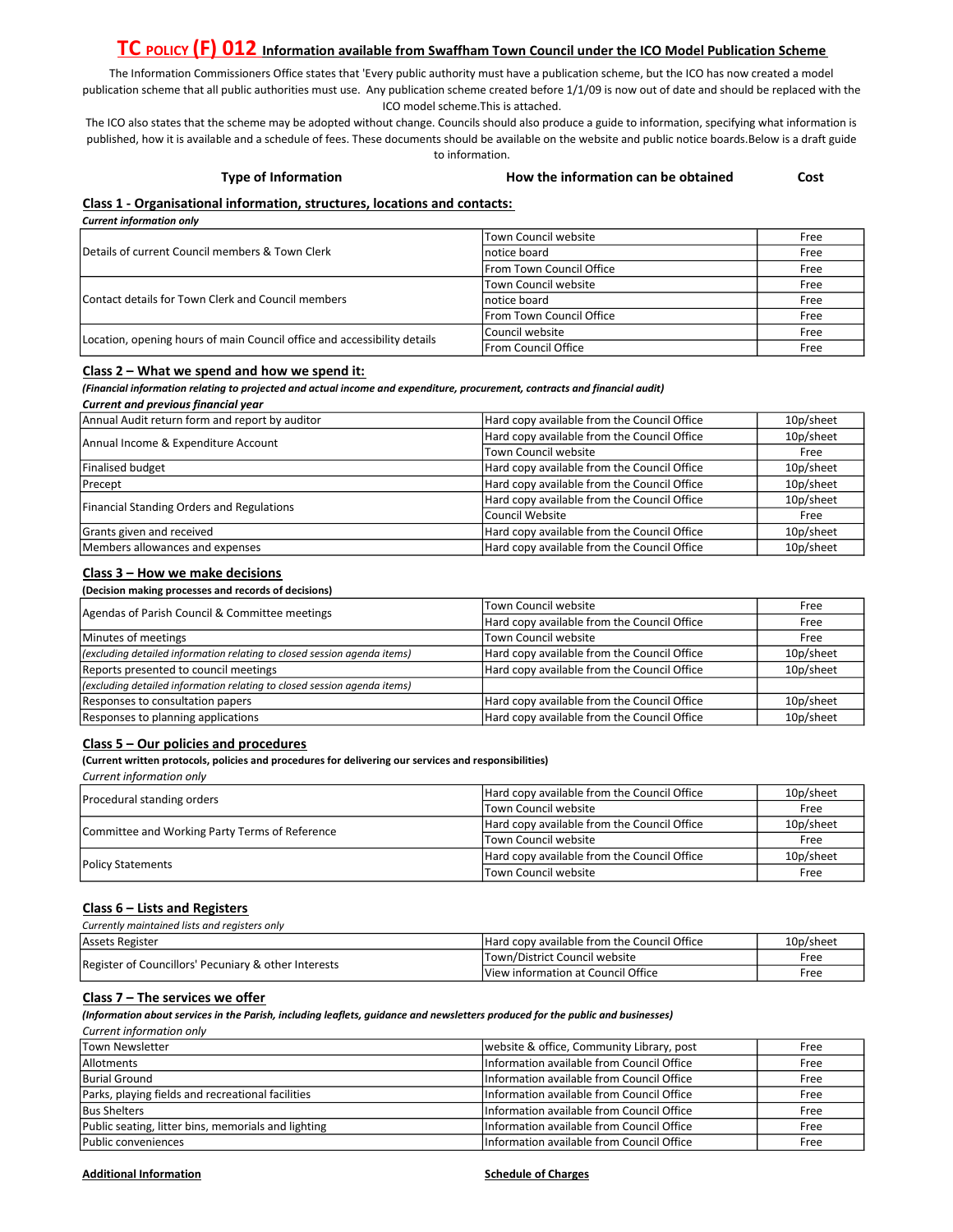# TC POLICY (F) 012 Information available from Swaffham Town Council under the ICO Model Publication Scheme

The Information Commissioners Office states that 'Every public authority must have a publication scheme, but the ICO has now created a model publication scheme that all public authorities must use. Any publication scheme created before 1/1/09 is now out of date and should be replaced with the ICO model scheme.This is attached.

The ICO also states that the scheme may be adopted without change. Councils should also produce a guide to information, specifying what information is published, how it is available and a schedule of fees. These documents should be available on the website and public notice boards.Below is a draft guide to information.

#### Type of Information How the information can be obtained Cost

# Class 1 - Organisational information, structures, locations and contacts:

Current information only

| Details of current Council members & Town Clerk                          | lTown Council website       | Free |
|--------------------------------------------------------------------------|-----------------------------|------|
|                                                                          | Inotice board               | Free |
|                                                                          | From Town Council Office    | Free |
| Contact details for Town Clerk and Council members                       | lTown Council website       | Free |
|                                                                          | Inotice board               | Free |
|                                                                          | From Town Council Office    | Free |
| Location, opening hours of main Council office and accessibility details | lCouncil website            | Free |
|                                                                          | <b>IFrom Council Office</b> | Free |

#### Class 2 – What we spend and how we spend it:

(Financial information relating to projected and actual income and expenditure, procurement, contracts and financial audit) Current and previous financial year

| Annual Audit return form and report by auditor   | Hard copy available from the Council Office | 10p/sheet |
|--------------------------------------------------|---------------------------------------------|-----------|
| Annual Income & Expenditure Account              | Hard copy available from the Council Office | 10p/sheet |
|                                                  | Town Council website                        | Free      |
| Finalised budget                                 | Hard copy available from the Council Office | 10p/sheet |
| Precept                                          | Hard copy available from the Council Office | 10p/sheet |
| <b>Financial Standing Orders and Regulations</b> | Hard copy available from the Council Office | 10p/sheet |
|                                                  | Council Website                             | Free      |
| Grants given and received                        | Hard copy available from the Council Office | 10p/sheet |
| Members allowances and expenses                  | Hard copy available from the Council Office | 10p/sheet |

### Class 3 – How we make decisions

(Decision making processes and records of decisions)

| Agendas of Parish Council & Committee meetings                           | lTown Council website                       | Free      |
|--------------------------------------------------------------------------|---------------------------------------------|-----------|
|                                                                          | Hard copy available from the Council Office | Free      |
| Minutes of meetings                                                      | Town Council website                        | Free      |
| (excluding detailed information relating to closed session agenda items) | Hard copy available from the Council Office | 10p/sheet |
| Reports presented to council meetings                                    | Hard copy available from the Council Office | 10p/sheet |
| (excluding detailed information relating to closed session agenda items) |                                             |           |
| Responses to consultation papers                                         | Hard copy available from the Council Office | 10p/sheet |
| Responses to planning applications                                       | Hard copy available from the Council Office | 10p/sheet |

### Class 5 – Our policies and procedures

(Current written protocols, policies and procedures for delivering our services and responsibilities)

Current information only

| Procedural standing orders                     | Hard copy available from the Council Office | 10p/sheet |
|------------------------------------------------|---------------------------------------------|-----------|
|                                                | lTown Council website                       | Free      |
| Committee and Working Party Terms of Reference | Hard copy available from the Council Office | 10p/sheet |
|                                                | lTown Council website                       | Free      |
| Policy Statements                              | Hard copy available from the Council Office | 10p/sheet |
|                                                | lTown Council website                       | Free      |

## Class 6 – Lists and Registers

| Currently maintained lists and registers only        |                                             |           |
|------------------------------------------------------|---------------------------------------------|-----------|
| Assets Register                                      | Hard copy available from the Council Office | 10p/sheet |
| Register of Councillors' Pecuniary & other Interests | Town/District Council website               | Free      |
|                                                      | View information at Council Office          | Free      |

# Class 7 – The services we offer

(Information about services in the Parish, including leaflets, guidance and newsletters produced for the public and businesses)

Current information only

| <b>Town Newsletter</b>                              | website & office, Community Library, post | Free |
|-----------------------------------------------------|-------------------------------------------|------|
| <b>Allotments</b>                                   | Information available from Council Office | Free |
| Burial Ground                                       | Information available from Council Office | Free |
| Parks, playing fields and recreational facilities   | Information available from Council Office | Free |
| <b>Bus Shelters</b>                                 | Information available from Council Office |      |
| Public seating, litter bins, memorials and lighting | Information available from Council Office |      |
| Public conveniences                                 | Information available from Council Office | Free |